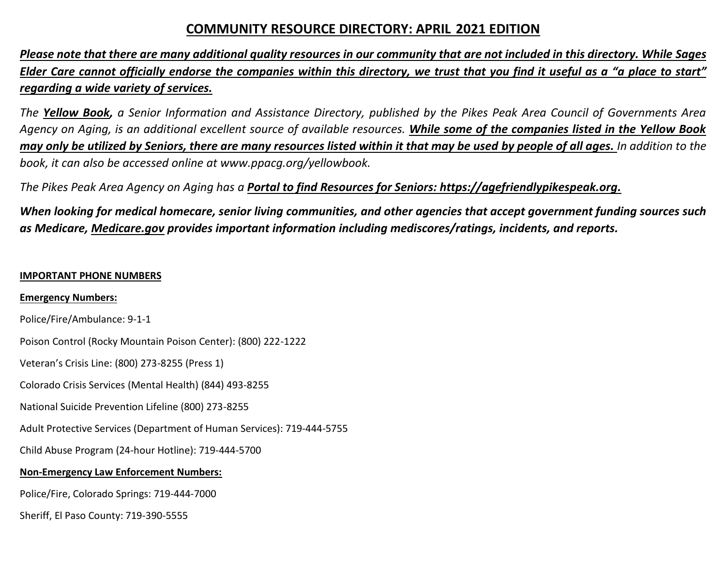# **COMMUNITY RESOURCE DIRECTORY: APRIL 2021 EDITION**

*Please note that there are many additional quality resources in our community that are not included in this directory. While Sages Elder Care cannot officially endorse the companies within this directory, we trust that you find it useful as a "a place to start" regarding a wide variety of services.*

*The Yellow Book, a Senior Information and Assistance Directory, published by the Pikes Peak Area Council of Governments Area Agency on Aging, is an additional excellent source of available resources. While some of the companies listed in the Yellow Book may only be utilized by Seniors, there are many resources listed within it that may be used by people of all ages. In addition to the book, it can also be accessed online at www.ppacg.org/yellowbook.*

*The Pikes Peak Area Agency on Aging has a Portal to find Resources for Seniors: https://agefriendlypikespeak.org.*

*When looking for medical homecare, senior living communities, and other agencies that accept government funding sources such as Medicare, Medicare.gov provides important information including mediscores/ratings, incidents, and reports.*

### **IMPORTANT PHONE NUMBERS**

**Emergency Numbers:**

Police/Fire/Ambulance: 9-1-1

Poison Control (Rocky Mountain Poison Center): (800) 222-1222

Veteran's Crisis Line: (800) 273-8255 (Press 1)

Colorado Crisis Services (Mental Health) (844) 493-8255

National Suicide Prevention Lifeline (800) 273-8255

Adult Protective Services (Department of Human Services): 719-444-5755

Child Abuse Program (24-hour Hotline): 719-444-5700

# **Non-Emergency Law Enforcement Numbers:**

Police/Fire, Colorado Springs: 719-444-7000

Sheriff, El Paso County: 719-390-5555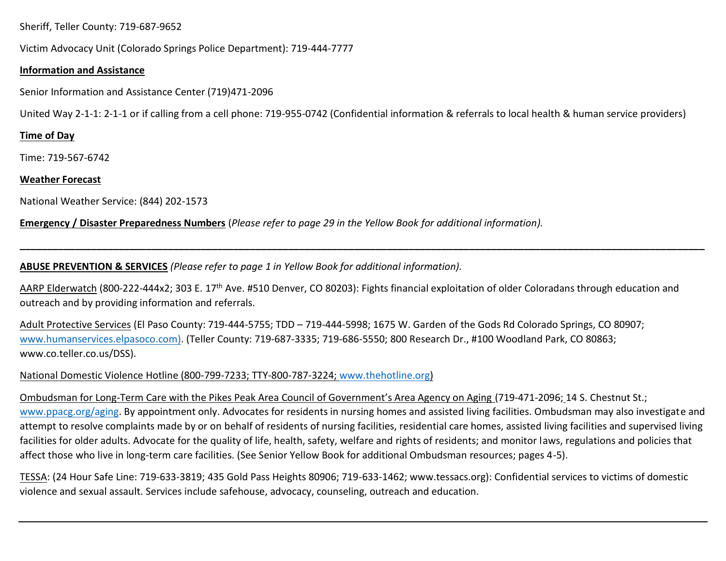Sheriff, Teller County: 719-687-9652

Victim Advocacy Unit (Colorado Springs Police Department): 719-444-7777

### **Information and Assistance**

Senior Information and Assistance Center (719)471-2096

United Way 2-1-1: 2-1-1 or if calling from a cell phone: 719-955-0742 (Confidential information & referrals to local health & human service providers)

# **Time of Day**

Time: 719-567-6742

# **Weather Forecast**

National Weather Service: (844) 202-1573

**Emergency / Disaster Preparedness Numbers** (*Please refer to page 29 in the Yellow Book for additional information).*

**ABUSE PREVENTION & SERVICES** *(Please refer to page 1 in Yellow Book for additional information).*

AARP Elderwatch (800-222-444x2; 303 E. 17<sup>th</sup> Ave. #510 Denver, CO 80203): Fights financial exploitation of older Coloradans through education and outreach and by providing information and referrals.

**\_\_\_\_\_\_\_\_\_\_\_\_\_\_\_\_\_\_\_\_\_\_\_\_\_\_\_\_\_\_\_\_\_\_\_\_\_\_\_\_\_\_\_\_\_\_\_\_\_\_\_\_\_\_\_\_\_\_\_\_\_\_\_\_\_\_\_\_\_\_\_\_\_\_\_\_\_\_\_\_\_\_\_\_\_\_\_\_\_\_\_\_\_\_\_\_\_\_\_\_\_\_\_\_\_\_\_\_\_\_\_\_\_\_\_\_\_\_\_\_\_\_\_\_\_**

Adult Protective Services (El Paso County: 719-444-5755; TDD – 719-444-5998; 1675 W. Garden of the Gods Rd Colorado Springs, CO 80907; [www.humanservices.elpasoco.com\)](http://www.humanservices.elpasoco.com/). (Teller County: 719-687-3335; 719-686-5550; 800 Research Dr., #100 Woodland Park, CO 80863; www.co.teller.co.us/DSS).

National Domestic Violence Hotline (800-799-7233; TTY-800-787-3224; [www.thehotline.org\)](http://www.thehotline.org/)

Ombudsman for Long-Term Care with the Pikes Peak Area Council of Government's Area Agency on Aging (719-471-2096; 14 S. Chestnut St.; [www.ppacg.org/aging.](http://www.ppacg.org/aging) By appointment only. Advocates for residents in nursing homes and assisted living facilities. Ombudsman may also investigate and attempt to resolve complaints made by or on behalf of residents of nursing facilities, residential care homes, assisted living facilities and supervised living facilities for older adults. Advocate for the quality of life, health, safety, welfare and rights of residents; and monitor laws, regulations and policies that affect those who live in long-term care facilities. (See Senior Yellow Book for additional Ombudsman resources; pages 4-5).

TESSA: (24 Hour Safe Line: 719-633-3819; 435 Gold Pass Heights 80906; 719-633-1462; www.tessacs.org): Confidential services to victims of domestic violence and sexual assault. Services include safehouse, advocacy, counseling, outreach and education.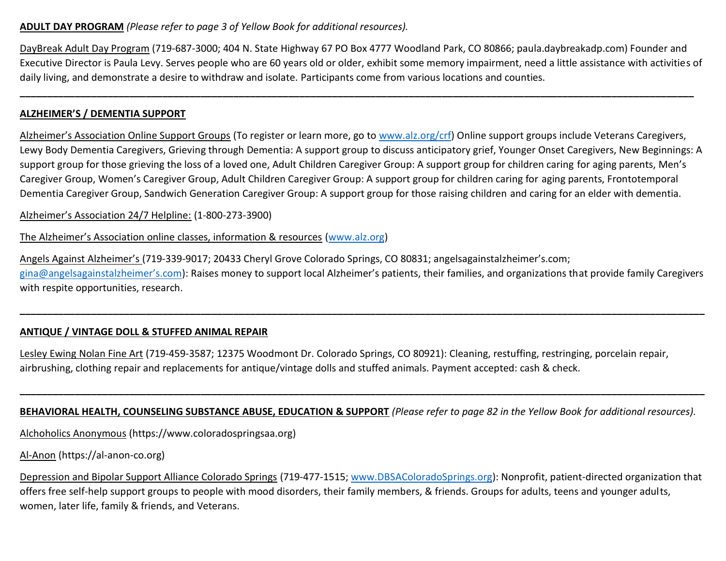### **ADULT DAY PROGRAM** *(Please refer to page 3 of Yellow Book for additional resources).*

DayBreak Adult Day Program (719-687-3000; 404 N. State Highway 67 PO Box 4777 Woodland Park, CO 80866; paula.daybreakadp.com) Founder and Executive Director is Paula Levy. Serves people who are 60 years old or older, exhibit some memory impairment, need a little assistance with activities of daily living, and demonstrate a desire to withdraw and isolate. Participants come from various locations and counties.

**\_\_\_\_\_\_\_\_\_\_\_\_\_\_\_\_\_\_\_\_\_\_\_\_\_\_\_\_\_\_\_\_\_\_\_\_\_\_\_\_\_\_\_\_\_\_\_\_\_\_\_\_\_\_\_\_\_\_\_\_\_\_\_\_\_\_\_\_\_\_\_\_\_\_\_\_\_\_\_\_\_\_\_\_\_\_\_\_\_\_\_\_\_\_\_\_\_\_\_\_\_\_\_\_\_\_\_\_\_\_\_\_\_\_\_\_\_\_\_\_\_\_\_**

# **ALZHEIMER'S / DEMENTIA SUPPORT**

Alzheimer's Association Online Support Groups (To register or learn more, go to [www.alz.org/crf\)](http://www.alz.org/crf) Online support groups include Veterans Caregivers, Lewy Body Dementia Caregivers, Grieving through Dementia: A support group to discuss anticipatory grief, Younger Onset Caregivers, New Beginnings: A support group for those grieving the loss of a loved one, Adult Children Caregiver Group: A support group for children caring for aging parents, Men's Caregiver Group, Women's Caregiver Group, Adult Children Caregiver Group: A support group for children caring for aging parents, Frontotemporal Dementia Caregiver Group, Sandwich Generation Caregiver Group: A support group for those raising children and caring for an elder with dementia.

Alzheimer's Association 24/7 Helpline: (1-800-273-3900)

The Alzheimer's Association online classes, information & resources [\(www.alz.org\)](http://www.alz.org/)

Angels Against Alzheimer's (719-339-9017; 20433 Cheryl Grove Colorado Springs, CO 80831; angelsagainstalzheimer's.com; [gina@angelsagainstalzheimer's.com\)](mailto:gina@angelsagainstalzheimer’s.com): Raises money to support local Alzheimer's patients, their families, and organizations that provide family Caregivers with respite opportunities, research.

**\_\_\_\_\_\_\_\_\_\_\_\_\_\_\_\_\_\_\_\_\_\_\_\_\_\_\_\_\_\_\_\_\_\_\_\_\_\_\_\_\_\_\_\_\_\_\_\_\_\_\_\_\_\_\_\_\_\_\_\_\_\_\_\_\_\_\_\_\_\_\_\_\_\_\_\_\_\_\_\_\_\_\_\_\_\_\_\_\_\_\_\_\_\_\_\_\_\_\_\_\_\_\_\_\_\_\_\_\_\_\_\_\_\_\_\_\_\_\_\_\_\_\_\_\_**

# **ANTIQUE / VINTAGE DOLL & STUFFED ANIMAL REPAIR**

Lesley Ewing Nolan Fine Art (719-459-3587; 12375 Woodmont Dr. Colorado Springs, CO 80921): Cleaning, restuffing, restringing, porcelain repair, airbrushing, clothing repair and replacements for antique/vintage dolls and stuffed animals. Payment accepted: cash & check.

**BEHAVIORAL HEALTH, COUNSELING SUBSTANCE ABUSE, EDUCATION & SUPPORT** *(Please refer to page 82 in the Yellow Book for additional resources).*

**\_\_\_\_\_\_\_\_\_\_\_\_\_\_\_\_\_\_\_\_\_\_\_\_\_\_\_\_\_\_\_\_\_\_\_\_\_\_\_\_\_\_\_\_\_\_\_\_\_\_\_\_\_\_\_\_\_\_\_\_\_\_\_\_\_\_\_\_\_\_\_\_\_\_\_\_\_\_\_\_\_\_\_\_\_\_\_\_\_\_\_\_\_\_\_\_\_\_\_\_\_\_\_\_\_\_\_\_\_\_\_\_\_\_\_\_\_\_\_\_\_\_\_\_\_**

Alchoholics Anonymous (https://www.coloradospringsaa.org)

Al-Anon (https://al-anon-co.org)

Depression and Bipolar Support Alliance Colorado Springs (719-477-1515; [www.DBSAColoradoSprings.org\)](http://www.dbsacoloradosprings.org/): Nonprofit, patient-directed organization that offers free self-help support groups to people with mood disorders, their family members, & friends. Groups for adults, teens and younger adults, women, later life, family & friends, and Veterans.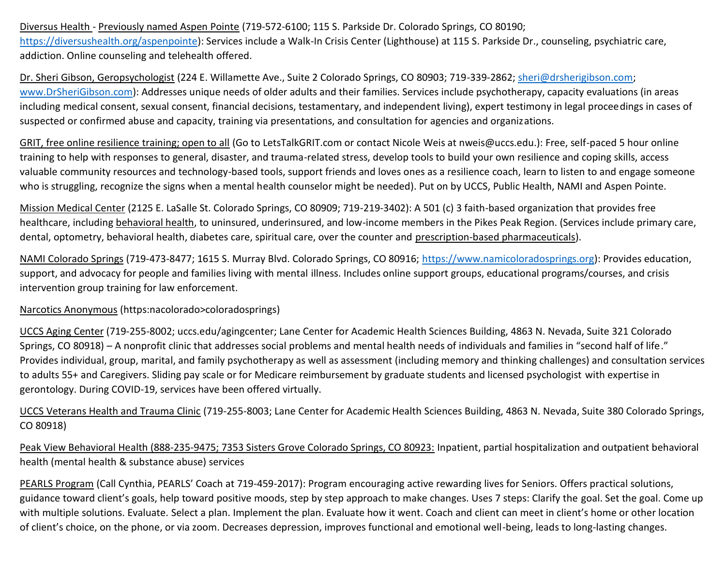Diversus Health - Previously named Aspen Pointe (719-572-6100; 115 S. Parkside Dr. Colorado Springs, CO 80190; [https://diversushealth.org/aspenpointe\)](https://diversushealth.org/aspenpointe): Services include a Walk-In Crisis Center (Lighthouse) at 115 S. Parkside Dr., counseling, psychiatric care, addiction. Online counseling and telehealth offered.

Dr. Sheri Gibson, Geropsychologist (224 E. Willamette Ave., Suite 2 Colorado Springs, CO 80903; 719-339-2862; [sheri@drsherigibson.com;](mailto:sheri@drsherigibson.com) [www.DrSheriGibson.com\)](http://www.drsherigibson.com/): Addresses unique needs of older adults and their families. Services include psychotherapy, capacity evaluations (in areas including medical consent, sexual consent, financial decisions, testamentary, and independent living), expert testimony in legal proceedings in cases of suspected or confirmed abuse and capacity, training via presentations, and consultation for agencies and organizations.

GRIT, free online resilience training; open to all (Go to LetsTalkGRIT.com or contact Nicole Weis at nweis@uccs.edu.): Free, self-paced 5 hour online training to help with responses to general, disaster, and trauma-related stress, develop tools to build your own resilience and coping skills, access valuable community resources and technology-based tools, support friends and loves ones as a resilience coach, learn to listen to and engage someone who is struggling, recognize the signs when a mental health counselor might be needed). Put on by UCCS, Public Health, NAMI and Aspen Pointe.

Mission Medical Center (2125 E. LaSalle St. Colorado Springs, CO 80909; 719-219-3402): A 501 (c) 3 faith-based organization that provides free healthcare, including behavioral health, to uninsured, underinsured, and low-income members in the Pikes Peak Region. (Services include primary care, dental, optometry, behavioral health, diabetes care, spiritual care, over the counter and prescription-based pharmaceuticals).

NAMI Colorado Springs (719-473-8477; 1615 S. Murray Blvd. Colorado Springs, CO 80916; [https://www.namicoloradosprings.org\)](https://www.namicoloradosprings.org/): Provides education, support, and advocacy for people and families living with mental illness. Includes online support groups, educational programs/courses, and crisis intervention group training for law enforcement.

Narcotics Anonymous (https:nacolorado>coloradosprings)

UCCS Aging Center (719-255-8002; uccs.edu/agingcenter; Lane Center for Academic Health Sciences Building, 4863 N. Nevada, Suite 321 Colorado Springs, CO 80918) – A nonprofit clinic that addresses social problems and mental health needs of individuals and families in "second half of life." Provides individual, group, marital, and family psychotherapy as well as assessment (including memory and thinking challenges) and consultation services to adults 55+ and Caregivers. Sliding pay scale or for Medicare reimbursement by graduate students and licensed psychologist with expertise in gerontology. During COVID-19, services have been offered virtually.

UCCS Veterans Health and Trauma Clinic (719-255-8003; Lane Center for Academic Health Sciences Building, 4863 N. Nevada, Suite 380 Colorado Springs, CO 80918)

Peak View Behavioral Health (888-235-9475; 7353 Sisters Grove Colorado Springs, CO 80923: Inpatient, partial hospitalization and outpatient behavioral health (mental health & substance abuse) services

PEARLS Program (Call Cynthia, PEARLS' Coach at 719-459-2017): Program encouraging active rewarding lives for Seniors. Offers practical solutions, guidance toward client's goals, help toward positive moods, step by step approach to make changes. Uses 7 steps: Clarify the goal. Set the goal. Come up with multiple solutions. Evaluate. Select a plan. Implement the plan. Evaluate how it went. Coach and client can meet in client's home or other location of client's choice, on the phone, or via zoom. Decreases depression, improves functional and emotional well-being, leads to long-lasting changes.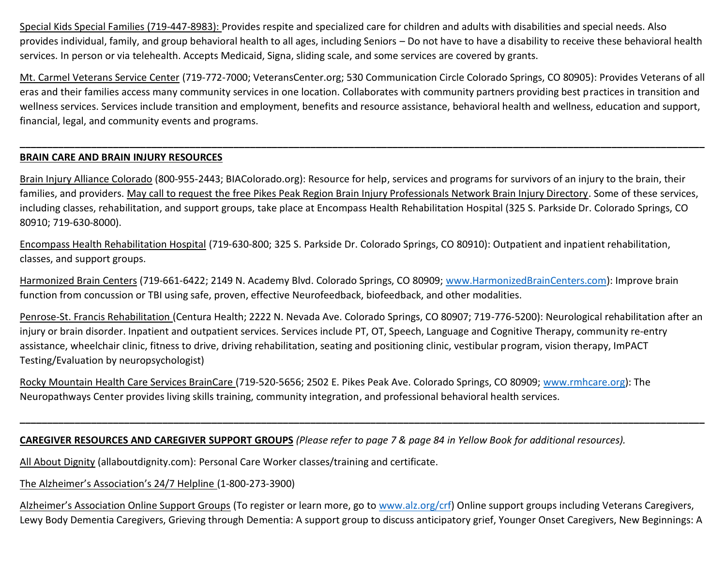Special Kids Special Families (719-447-8983): Provides respite and specialized care for children and adults with disabilities and special needs. Also provides individual, family, and group behavioral health to all ages, including Seniors – Do not have to have a disability to receive these behavioral health services. In person or via telehealth. Accepts Medicaid, Signa, sliding scale, and some services are covered by grants.

Mt. Carmel Veterans Service Center (719-772-7000; VeteransCenter.org; 530 Communication Circle Colorado Springs, CO 80905): Provides Veterans of all eras and their families access many community services in one location. Collaborates with community partners providing best practices in transition and wellness services. Services include transition and employment, benefits and resource assistance, behavioral health and wellness, education and support, financial, legal, and community events and programs.

**\_\_\_\_\_\_\_\_\_\_\_\_\_\_\_\_\_\_\_\_\_\_\_\_\_\_\_\_\_\_\_\_\_\_\_\_\_\_\_\_\_\_\_\_\_\_\_\_\_\_\_\_\_\_\_\_\_\_\_\_\_\_\_\_\_\_\_\_\_\_\_\_\_\_\_\_\_\_\_\_\_\_\_\_\_\_\_\_\_\_\_\_\_\_\_\_\_\_\_\_\_\_\_\_\_\_\_\_\_\_\_\_\_\_\_\_\_\_\_\_\_\_\_\_\_**

### **BRAIN CARE AND BRAIN INJURY RESOURCES**

Brain Injury Alliance Colorado (800-955-2443; BIAColorado.org): Resource for help, services and programs for survivors of an injury to the brain, their families, and providers. May call to request the free Pikes Peak Region Brain Injury Professionals Network Brain Injury Directory. Some of these services, including classes, rehabilitation, and support groups, take place at Encompass Health Rehabilitation Hospital (325 S. Parkside Dr. Colorado Springs, CO 80910; 719-630-8000).

Encompass Health Rehabilitation Hospital (719-630-800; 325 S. Parkside Dr. Colorado Springs, CO 80910): Outpatient and inpatient rehabilitation, classes, and support groups.

Harmonized Brain Centers (719-661-6422; 2149 N. Academy Blvd. Colorado Springs, CO 80909; [www.HarmonizedBrainCenters.com\)](http://www.harmonizedbraincenters.com/): Improve brain function from concussion or TBI using safe, proven, effective Neurofeedback, biofeedback, and other modalities.

Penrose-St. Francis Rehabilitation (Centura Health; 2222 N. Nevada Ave. Colorado Springs, CO 80907; 719-776-5200): Neurological rehabilitation after an injury or brain disorder. Inpatient and outpatient services. Services include PT, OT, Speech, Language and Cognitive Therapy, community re-entry assistance, wheelchair clinic, fitness to drive, driving rehabilitation, seating and positioning clinic, vestibular program, vision therapy, ImPACT Testing/Evaluation by neuropsychologist)

**\_\_\_\_\_\_\_\_\_\_\_\_\_\_\_\_\_\_\_\_\_\_\_\_\_\_\_\_\_\_\_\_\_\_\_\_\_\_\_\_\_\_\_\_\_\_\_\_\_\_\_\_\_\_\_\_\_\_\_\_\_\_\_\_\_\_\_\_\_\_\_\_\_\_\_\_\_\_\_\_\_\_\_\_\_\_\_\_\_\_\_\_\_\_\_\_\_\_\_\_\_\_\_\_\_\_\_\_\_\_\_\_\_\_\_\_\_\_\_\_\_\_\_\_\_**

Rocky Mountain Health Care Services BrainCare (719-520-5656; 2502 E. Pikes Peak Ave. Colorado Springs, CO 80909; [www.rmhcare.org\)](http://www.rmhcare.org/): The Neuropathways Center provides living skills training, community integration, and professional behavioral health services.

# **CAREGIVER RESOURCES AND CAREGIVER SUPPORT GROUPS** *(Please refer to page 7 & page 84 in Yellow Book for additional resources).*

All About Dignity (allaboutdignity.com): Personal Care Worker classes/training and certificate.

### The Alzheimer's Association's 24/7 Helpline (1-800-273-3900)

Alzheimer's Association Online Support Groups (To register or learn more, go to [www.alz.org/crf\)](http://www.alz.org/crf) Online support groups including Veterans Caregivers, Lewy Body Dementia Caregivers, Grieving through Dementia: A support group to discuss anticipatory grief, Younger Onset Caregivers, New Beginnings: A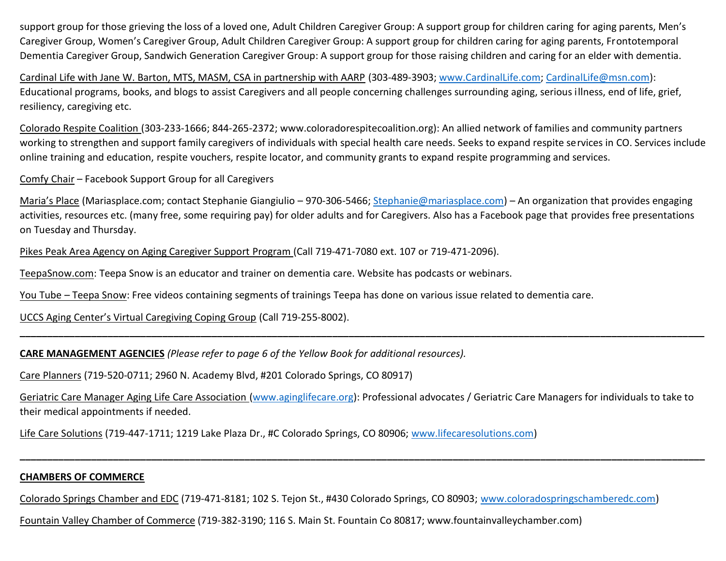support group for those grieving the loss of a loved one, Adult Children Caregiver Group: A support group for children caring for aging parents, Men's Caregiver Group, Women's Caregiver Group, Adult Children Caregiver Group: A support group for children caring for aging parents, Frontotemporal Dementia Caregiver Group, Sandwich Generation Caregiver Group: A support group for those raising children and caring for an elder with dementia.

Cardinal Life with Jane W. Barton, MTS, MASM, CSA in partnership with AARP (303-489-3903; [www.CardinalLife.com;](http://www.cardinallife.com/) [CardinalLife@msn.com\)](mailto:CardinalLife@msn.com): Educational programs, books, and blogs to assist Caregivers and all people concerning challenges surrounding aging, serious illness, end of life, grief, resiliency, caregiving etc.

Colorado Respite Coalition (303-233-1666; 844-265-2372; www.coloradorespitecoalition.org): An allied network of families and community partners working to strengthen and support family caregivers of individuals with special health care needs. Seeks to expand respite services in CO. Services include online training and education, respite vouchers, respite locator, and community grants to expand respite programming and services.

Comfy Chair – Facebook Support Group for all Caregivers

Maria's Place (Mariasplace.com; contact Stephanie Giangiulio – 970-306-5466; [Stephanie@mariasplace.com\)](mailto:Stephanie@mariasplace.com) – An organization that provides engaging activities, resources etc. (many free, some requiring pay) for older adults and for Caregivers. Also has a Facebook page that provides free presentations on Tuesday and Thursday.

Pikes Peak Area Agency on Aging Caregiver Support Program (Call 719-471-7080 ext. 107 or 719-471-2096).

TeepaSnow.com: Teepa Snow is an educator and trainer on dementia care. Website has podcasts or webinars.

You Tube – Teepa Snow: Free videos containing segments of trainings Teepa has done on various issue related to dementia care.

UCCS Aging Center's Virtual Caregiving Coping Group (Call 719-255-8002).

**CARE MANAGEMENT AGENCIES** *(Please refer to page 6 of the Yellow Book for additional resources).*

Care Planners (719-520-0711; 2960 N. Academy Blvd, #201 Colorado Springs, CO 80917)

Geriatric Care Manager Aging Life Care Association [\(www.aginglifecare.org\)](http://www.aginglifecare.org/): Professional advocates / Geriatric Care Managers for individuals to take to their medical appointments if needed.

**\_\_\_\_\_\_\_\_\_\_\_\_\_\_\_\_\_\_\_\_\_\_\_\_\_\_\_\_\_\_\_\_\_\_\_\_\_\_\_\_\_\_\_\_\_\_\_\_\_\_\_\_\_\_\_\_\_\_\_\_\_\_\_\_\_\_\_\_\_\_\_\_\_\_\_\_\_\_\_\_\_\_\_\_\_\_\_\_\_\_\_\_\_\_\_\_\_\_\_\_\_\_\_\_\_\_\_\_\_\_\_\_\_\_\_\_\_\_\_\_\_\_\_\_\_**

**\_\_\_\_\_\_\_\_\_\_\_\_\_\_\_\_\_\_\_\_\_\_\_\_\_\_\_\_\_\_\_\_\_\_\_\_\_\_\_\_\_\_\_\_\_\_\_\_\_\_\_\_\_\_\_\_\_\_\_\_\_\_\_\_\_\_\_\_\_\_\_\_\_\_\_\_\_\_\_\_\_\_\_\_\_\_\_\_\_\_\_\_\_\_\_\_\_\_\_\_\_\_\_\_\_\_\_\_\_\_\_\_\_\_\_\_\_\_\_\_\_\_\_\_\_**

Life Care Solutions (719-447-1711; 1219 Lake Plaza Dr., #C Colorado Springs, CO 80906; [www.lifecaresolutions.com\)](http://www.lifecaresolutions.com/)

# **CHAMBERS OF COMMERCE**

Colorado Springs Chamber and EDC (719-471-8181; 102 S. Tejon St., #430 Colorado Springs, CO 80903; [www.coloradospringschamberedc.com\)](http://www.coloradospringschamberedc.com/)

Fountain Valley Chamber of Commerce (719-382-3190; 116 S. Main St. Fountain Co 80817; www.fountainvalleychamber.com)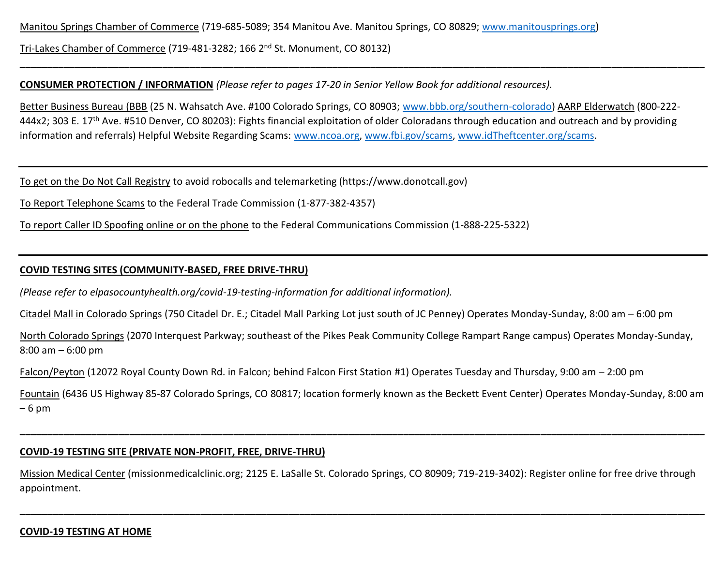Manitou Springs Chamber of Commerce (719-685-5089; 354 Manitou Ave. Manitou Springs, CO 80829; [www.manitousprings.org\)](http://www.manitousprings.org/)

Tri-Lakes Chamber of Commerce (719-481-3282; 166 2<sup>nd</sup> St. Monument, CO 80132)

### **CONSUMER PROTECTION / INFORMATION** *(Please refer to pages 17-20 in Senior Yellow Book for additional resources).*

Better Business Bureau (BBB (25 N. Wahsatch Ave. #100 Colorado Springs, CO 80903; [www.bbb.org/southern-colorado\)](http://www.bbb.org/southern-colorado) AARP Elderwatch (800-222- 444x2; 303 E. 17<sup>th</sup> Ave. #510 Denver, CO 80203): Fights financial exploitation of older Coloradans through education and outreach and by providing information and referrals) Helpful Website Regarding Scams: [www.ncoa.org,](http://www.ncoa.org/) [www.fbi.gov/scams,](http://www.fbi.gov/scams) [www.idTheftcenter.org/scams.](http://www.idtheftcenter.org/scams)

**\_\_\_\_\_\_\_\_\_\_\_\_\_\_\_\_\_\_\_\_\_\_\_\_\_\_\_\_\_\_\_\_\_\_\_\_\_\_\_\_\_\_\_\_\_\_\_\_\_\_\_\_\_\_\_\_\_\_\_\_\_\_\_\_\_\_\_\_\_\_\_\_\_\_\_\_\_\_\_\_\_\_\_\_\_\_\_\_\_\_\_\_\_\_\_\_\_\_\_\_\_\_\_\_\_\_\_\_\_\_\_\_\_\_\_\_\_\_\_\_\_\_\_\_\_**

To get on the Do Not Call Registry to avoid robocalls and telemarketing (https://www.donotcall.gov)

To Report Telephone Scams to the Federal Trade Commission (1-877-382-4357)

To report Caller ID Spoofing online or on the phone to the Federal Communications Commission (1-888-225-5322)

# **COVID TESTING SITES (COMMUNITY-BASED, FREE DRIVE-THRU)**

*(Please refer to elpasocountyhealth.org/covid-19-testing-information for additional information).*

Citadel Mall in Colorado Springs (750 Citadel Dr. E.; Citadel Mall Parking Lot just south of JC Penney) Operates Monday-Sunday, 8:00 am – 6:00 pm

North Colorado Springs (2070 Interquest Parkway; southeast of the Pikes Peak Community College Rampart Range campus) Operates Monday-Sunday, 8:00 am – 6:00 pm

Falcon/Peyton (12072 Royal County Down Rd. in Falcon; behind Falcon First Station #1) Operates Tuesday and Thursday, 9:00 am – 2:00 pm

Fountain (6436 US Highway 85-87 Colorado Springs, CO 80817; location formerly known as the Beckett Event Center) Operates Monday-Sunday, 8:00 am – 6 pm

**\_\_\_\_\_\_\_\_\_\_\_\_\_\_\_\_\_\_\_\_\_\_\_\_\_\_\_\_\_\_\_\_\_\_\_\_\_\_\_\_\_\_\_\_\_\_\_\_\_\_\_\_\_\_\_\_\_\_\_\_\_\_\_\_\_\_\_\_\_\_\_\_\_\_\_\_\_\_\_\_\_\_\_\_\_\_\_\_\_\_\_\_\_\_\_\_\_\_\_\_\_\_\_\_\_\_\_\_\_\_\_\_\_\_\_\_\_\_\_\_\_\_\_\_\_**

# **COVID-19 TESTING SITE (PRIVATE NON-PROFIT, FREE, DRIVE-THRU)**

Mission Medical Center (missionmedicalclinic.org; 2125 E. LaSalle St. Colorado Springs, CO 80909; 719-219-3402): Register online for free drive through appointment.

**\_\_\_\_\_\_\_\_\_\_\_\_\_\_\_\_\_\_\_\_\_\_\_\_\_\_\_\_\_\_\_\_\_\_\_\_\_\_\_\_\_\_\_\_\_\_\_\_\_\_\_\_\_\_\_\_\_\_\_\_\_\_\_\_\_\_\_\_\_\_\_\_\_\_\_\_\_\_\_\_\_\_\_\_\_\_\_\_\_\_\_\_\_\_\_\_\_\_\_\_\_\_\_\_\_\_\_\_\_\_\_\_\_\_\_\_\_\_\_\_\_\_\_\_\_**

### **COVID-19 TESTING AT HOME**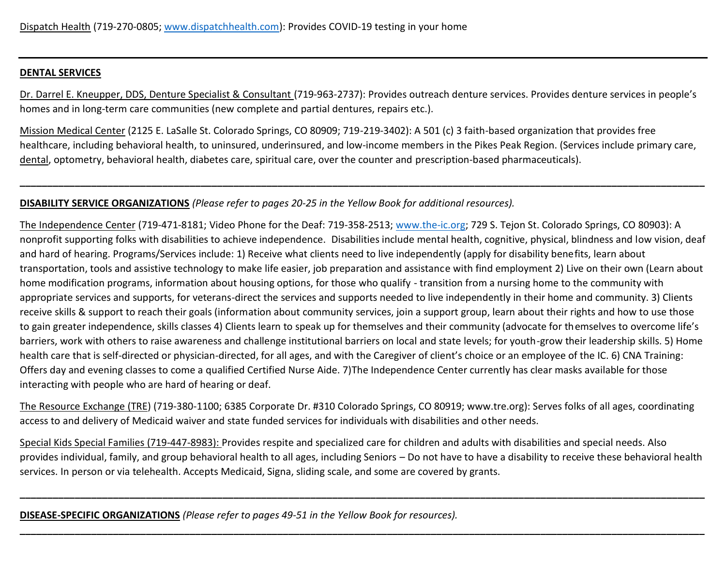### **DENTAL SERVICES**

Dr. Darrel E. Kneupper, DDS, Denture Specialist & Consultant (719-963-2737): Provides outreach denture services. Provides denture services in people's homes and in long-term care communities (new complete and partial dentures, repairs etc.).

Mission Medical Center (2125 E. LaSalle St. Colorado Springs, CO 80909; 719-219-3402): A 501 (c) 3 faith-based organization that provides free healthcare, including behavioral health, to uninsured, underinsured, and low-income members in the Pikes Peak Region. (Services include primary care, dental, optometry, behavioral health, diabetes care, spiritual care, over the counter and prescription-based pharmaceuticals).

**\_\_\_\_\_\_\_\_\_\_\_\_\_\_\_\_\_\_\_\_\_\_\_\_\_\_\_\_\_\_\_\_\_\_\_\_\_\_\_\_\_\_\_\_\_\_\_\_\_\_\_\_\_\_\_\_\_\_\_\_\_\_\_\_\_\_\_\_\_\_\_\_\_\_\_\_\_\_\_\_\_\_\_\_\_\_\_\_\_\_\_\_\_\_\_\_\_\_\_\_\_\_\_\_\_\_\_\_\_\_\_\_\_\_\_\_\_\_\_\_\_\_\_\_\_**

### **DISABILITY SERVICE ORGANIZATIONS** *(Please refer to pages 20-25 in the Yellow Book for additional resources).*

The Independence Center (719-471-8181; Video Phone for the Deaf: 719-358-2513; [www.the-ic.org;](http://www.the-ic.org/) 729 S. Tejon St. Colorado Springs, CO 80903): A nonprofit supporting folks with disabilities to achieve independence. Disabilities include mental health, cognitive, physical, blindness and low vision, deaf and hard of hearing. Programs/Services include: 1) Receive what clients need to live independently (apply for disability benefits, learn about transportation, tools and assistive technology to make life easier, job preparation and assistance with find employment 2) Live on their own (Learn about home modification programs, information about housing options, for those who qualify - transition from a nursing home to the community with appropriate services and supports, for veterans-direct the services and supports needed to live independently in their home and community. 3) Clients receive skills & support to reach their goals (information about community services, join a support group, learn about their rights and how to use those to gain greater independence, skills classes 4) Clients learn to speak up for themselves and their community (advocate for themselves to overcome life's barriers, work with others to raise awareness and challenge institutional barriers on local and state levels; for youth-grow their leadership skills. 5) Home health care that is self-directed or physician-directed, for all ages, and with the Caregiver of client's choice or an employee of the IC. 6) CNA Training: Offers day and evening classes to come a qualified Certified Nurse Aide. 7)The Independence Center currently has clear masks available for those interacting with people who are hard of hearing or deaf.

The Resource Exchange (TRE) (719-380-1100; 6385 Corporate Dr. #310 Colorado Springs, CO 80919; www.tre.org): Serves folks of all ages, coordinating access to and delivery of Medicaid waiver and state funded services for individuals with disabilities and other needs.

Special Kids Special Families (719-447-8983): Provides respite and specialized care for children and adults with disabilities and special needs. Also provides individual, family, and group behavioral health to all ages, including Seniors – Do not have to have a disability to receive these behavioral health services. In person or via telehealth. Accepts Medicaid, Signa, sliding scale, and some are covered by grants.

**\_\_\_\_\_\_\_\_\_\_\_\_\_\_\_\_\_\_\_\_\_\_\_\_\_\_\_\_\_\_\_\_\_\_\_\_\_\_\_\_\_\_\_\_\_\_\_\_\_\_\_\_\_\_\_\_\_\_\_\_\_\_\_\_\_\_\_\_\_\_\_\_\_\_\_\_\_\_\_\_\_\_\_\_\_\_\_\_\_\_\_\_\_\_\_\_\_\_\_\_\_\_\_\_\_\_\_\_\_\_\_\_\_\_\_\_\_\_\_\_\_\_\_\_\_**

**\_\_\_\_\_\_\_\_\_\_\_\_\_\_\_\_\_\_\_\_\_\_\_\_\_\_\_\_\_\_\_\_\_\_\_\_\_\_\_\_\_\_\_\_\_\_\_\_\_\_\_\_\_\_\_\_\_\_\_\_\_\_\_\_\_\_\_\_\_\_\_\_\_\_\_\_\_\_\_\_\_\_\_\_\_\_\_\_\_\_\_\_\_\_\_\_\_\_\_\_\_\_\_\_\_\_\_\_\_\_\_\_\_\_\_\_\_\_\_\_\_\_\_\_\_**

**DISEASE-SPECIFIC ORGANIZATIONS** *(Please refer to pages 49-51 in the Yellow Book for resources).*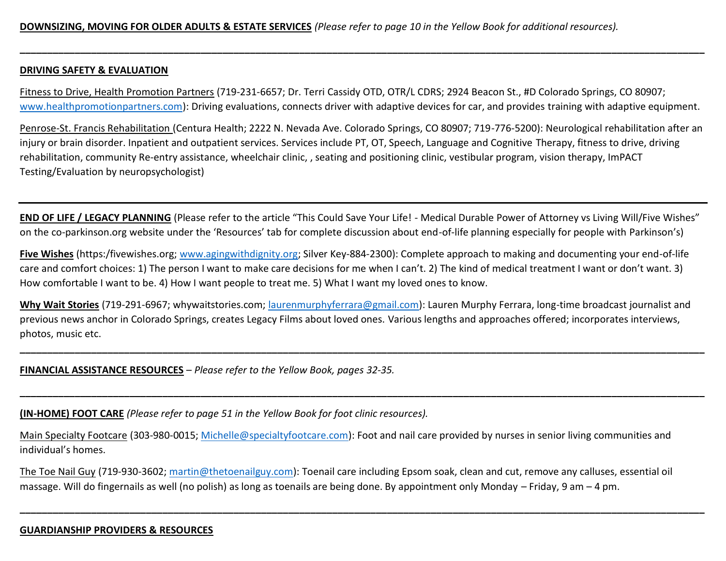#### **DRIVING SAFETY & EVALUATION**

Fitness to Drive, Health Promotion Partners (719-231-6657; Dr. Terri Cassidy OTD, OTR/L CDRS; 2924 Beacon St., #D Colorado Springs, CO 80907; [www.healthpromotionpartners.com\)](http://www.healthpromotionpartners.com/): Driving evaluations, connects driver with adaptive devices for car, and provides training with adaptive equipment.

**\_\_\_\_\_\_\_\_\_\_\_\_\_\_\_\_\_\_\_\_\_\_\_\_\_\_\_\_\_\_\_\_\_\_\_\_\_\_\_\_\_\_\_\_\_\_\_\_\_\_\_\_\_\_\_\_\_\_\_\_\_\_\_\_\_\_\_\_\_\_\_\_\_\_\_\_\_\_\_\_\_\_\_\_\_\_\_\_\_\_\_\_\_\_\_\_\_\_\_\_\_\_\_\_\_\_\_\_\_\_\_\_\_\_\_\_\_\_\_\_\_\_\_\_\_**

Penrose-St. Francis Rehabilitation (Centura Health; 2222 N. Nevada Ave. Colorado Springs, CO 80907; 719-776-5200): Neurological rehabilitation after an injury or brain disorder. Inpatient and outpatient services. Services include PT, OT, Speech, Language and Cognitive Therapy, fitness to drive, driving rehabilitation, community Re-entry assistance, wheelchair clinic, , seating and positioning clinic, vestibular program, vision therapy, ImPACT Testing/Evaluation by neuropsychologist)

**END OF LIFE / LEGACY PLANNING** (Please refer to the article "This Could Save Your Life! - Medical Durable Power of Attorney vs Living Will/Five Wishes" on the co-parkinson.org website under the 'Resources' tab for complete discussion about end-of-life planning especially for people with Parkinson's)

**Five Wishes** (https:/fivewishes.org; [www.agingwithdignity.org;](http://www.agingwithdignity.org/) Silver Key-884-2300): Complete approach to making and documenting your end-of-life care and comfort choices: 1) The person I want to make care decisions for me when I can't. 2) The kind of medical treatment I want or don't want. 3) How comfortable I want to be. 4) How I want people to treat me. 5) What I want my loved ones to know.

**Why Wait Stories** (719-291-6967; whywaitstories.com; [laurenmurphyferrara@gmail.com\)](mailto:laurenmurphyferrara@gmail.com): Lauren Murphy Ferrara, long-time broadcast journalist and previous news anchor in Colorado Springs, creates Legacy Films about loved ones. Various lengths and approaches offered; incorporates interviews, photos, music etc.

**\_\_\_\_\_\_\_\_\_\_\_\_\_\_\_\_\_\_\_\_\_\_\_\_\_\_\_\_\_\_\_\_\_\_\_\_\_\_\_\_\_\_\_\_\_\_\_\_\_\_\_\_\_\_\_\_\_\_\_\_\_\_\_\_\_\_\_\_\_\_\_\_\_\_\_\_\_\_\_\_\_\_\_\_\_\_\_\_\_\_\_\_\_\_\_\_\_\_\_\_\_\_\_\_\_\_\_\_\_\_\_\_\_\_\_\_\_\_\_\_\_\_\_\_\_**

**\_\_\_\_\_\_\_\_\_\_\_\_\_\_\_\_\_\_\_\_\_\_\_\_\_\_\_\_\_\_\_\_\_\_\_\_\_\_\_\_\_\_\_\_\_\_\_\_\_\_\_\_\_\_\_\_\_\_\_\_\_\_\_\_\_\_\_\_\_\_\_\_\_\_\_\_\_\_\_\_\_\_\_\_\_\_\_\_\_\_\_\_\_\_\_\_\_\_\_\_\_\_\_\_\_\_\_\_\_\_\_\_\_\_\_\_\_\_\_\_\_\_\_\_\_**

**FINANCIAL ASSISTANCE RESOURCES** – *Please refer to the Yellow Book, pages 32-35.*

**(IN-HOME) FOOT CARE** *(Please refer to page 51 in the Yellow Book for foot clinic resources).*

Main Specialty Footcare (303-980-0015; [Michelle@specialtyfootcare.com\)](mailto:Michelle@specialtyfootcare.com): Foot and nail care provided by nurses in senior living communities and individual's homes.

The Toe Nail Guy (719-930-3602; [martin@thetoenailguy.com\)](mailto:martin@thetoenailguy.com): Toenail care including Epsom soak, clean and cut, remove any calluses, essential oil massage. Will do fingernails as well (no polish) as long as toenails are being done. By appointment only Monday – Friday, 9 am – 4 pm.

**\_\_\_\_\_\_\_\_\_\_\_\_\_\_\_\_\_\_\_\_\_\_\_\_\_\_\_\_\_\_\_\_\_\_\_\_\_\_\_\_\_\_\_\_\_\_\_\_\_\_\_\_\_\_\_\_\_\_\_\_\_\_\_\_\_\_\_\_\_\_\_\_\_\_\_\_\_\_\_\_\_\_\_\_\_\_\_\_\_\_\_\_\_\_\_\_\_\_\_\_\_\_\_\_\_\_\_\_\_\_\_\_\_\_\_\_\_\_\_\_\_\_\_\_\_**

### **GUARDIANSHIP PROVIDERS & RESOURCES**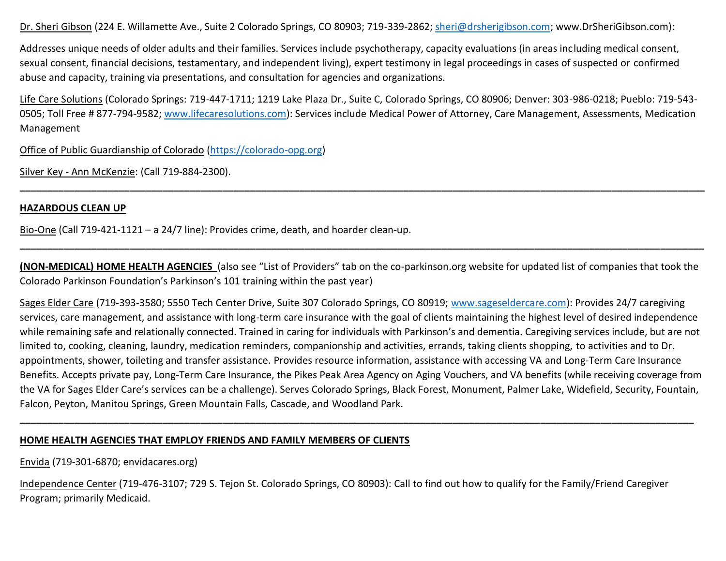Dr. Sheri Gibson (224 E. Willamette Ave., Suite 2 Colorado Springs, CO 80903; 719-339-2862; [sheri@drsherigibson.com;](mailto:sheri@drsherigibson.com) www.DrSheriGibson.com):

Addresses unique needs of older adults and their families. Services include psychotherapy, capacity evaluations (in areas including medical consent, sexual consent, financial decisions, testamentary, and independent living), expert testimony in legal proceedings in cases of suspected or confirmed abuse and capacity, training via presentations, and consultation for agencies and organizations.

Life Care Solutions (Colorado Springs: 719-447-1711; 1219 Lake Plaza Dr., Suite C, Colorado Springs, CO 80906; Denver: 303-986-0218; Pueblo: 719-543- 0505; Toll Free # 877-794-9582; [www.lifecaresolutions.com\)](http://www.lifecaresolutions.com/): Services include Medical Power of Attorney, Care Management, Assessments, Medication Management

**\_\_\_\_\_\_\_\_\_\_\_\_\_\_\_\_\_\_\_\_\_\_\_\_\_\_\_\_\_\_\_\_\_\_\_\_\_\_\_\_\_\_\_\_\_\_\_\_\_\_\_\_\_\_\_\_\_\_\_\_\_\_\_\_\_\_\_\_\_\_\_\_\_\_\_\_\_\_\_\_\_\_\_\_\_\_\_\_\_\_\_\_\_\_\_\_\_\_\_\_\_\_\_\_\_\_\_\_\_\_\_\_\_\_\_\_\_\_\_\_\_\_\_\_\_**

Office of Public Guardianship of Colorado [\(https://colorado-opg.org\)](https://colorado-opg.org/)

Silver Key - Ann McKenzie: (Call 719-884-2300).

#### **HAZARDOUS CLEAN UP**

Bio-One (Call 719-421-1121 – a 24/7 line): Provides crime, death, and hoarder clean-up.

**(NON-MEDICAL) HOME HEALTH AGENCIES** (also see "List of Providers" tab on the co-parkinson.org website for updated list of companies that took the Colorado Parkinson Foundation's Parkinson's 101 training within the past year)

**\_\_\_\_\_\_\_\_\_\_\_\_\_\_\_\_\_\_\_\_\_\_\_\_\_\_\_\_\_\_\_\_\_\_\_\_\_\_\_\_\_\_\_\_\_\_\_\_\_\_\_\_\_\_\_\_\_\_\_\_\_\_\_\_\_\_\_\_\_\_\_\_\_\_\_\_\_\_\_\_\_\_\_\_\_\_\_\_\_\_\_\_\_\_\_\_\_\_\_\_\_\_\_\_\_\_\_\_\_\_\_\_\_\_\_\_\_\_\_\_\_\_\_\_\_**

Sages Elder Care (719-393-3580; 5550 Tech Center Drive, Suite 307 Colorado Springs, CO 80919; [www.sageseldercare.com\)](http://www.sageseldercare.com/): Provides 24/7 caregiving services, care management, and assistance with long-term care insurance with the goal of clients maintaining the highest level of desired independence while remaining safe and relationally connected. Trained in caring for individuals with Parkinson's and dementia. Caregiving services include, but are not limited to, cooking, cleaning, laundry, medication reminders, companionship and activities, errands, taking clients shopping, to activities and to Dr. appointments, shower, toileting and transfer assistance. Provides resource information, assistance with accessing VA and Long-Term Care Insurance Benefits. Accepts private pay, Long-Term Care Insurance, the Pikes Peak Area Agency on Aging Vouchers, and VA benefits (while receiving coverage from the VA for Sages Elder Care's services can be a challenge). Serves Colorado Springs, Black Forest, Monument, Palmer Lake, Widefield, Security, Fountain, Falcon, Peyton, Manitou Springs, Green Mountain Falls, Cascade, and Woodland Park.

**\_\_\_\_\_\_\_\_\_\_\_\_\_\_\_\_\_\_\_\_\_\_\_\_\_\_\_\_\_\_\_\_\_\_\_\_\_\_\_\_\_\_\_\_\_\_\_\_\_\_\_\_\_\_\_\_\_\_\_\_\_\_\_\_\_\_\_\_\_\_\_\_\_\_\_\_\_\_\_\_\_\_\_\_\_\_\_\_\_\_\_\_\_\_\_\_\_\_\_\_\_\_\_\_\_\_\_\_\_\_\_\_\_\_\_\_\_\_\_\_\_\_\_**

### **HOME HEALTH AGENCIES THAT EMPLOY FRIENDS AND FAMILY MEMBERS OF CLIENTS**

Envida (719-301-6870; envidacares.org)

Independence Center (719-476-3107; 729 S. Tejon St. Colorado Springs, CO 80903): Call to find out how to qualify for the Family/Friend Caregiver Program; primarily Medicaid.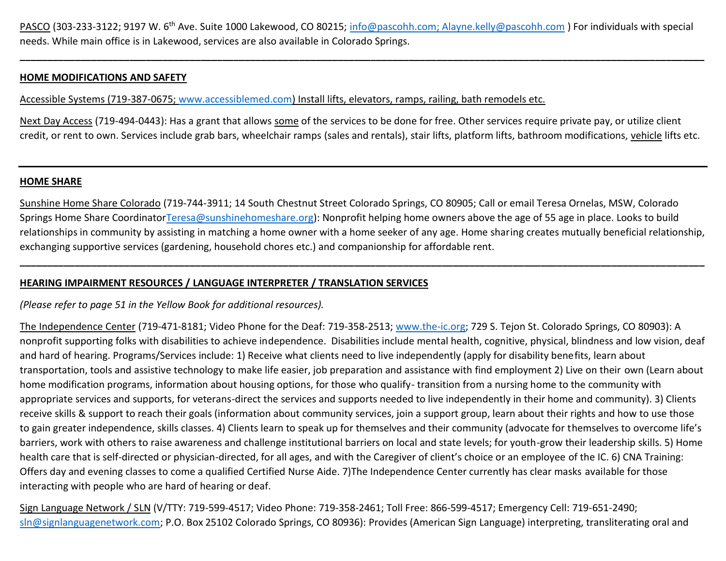PASCO (303-233-3122; 9197 W. 6<sup>th</sup> Ave. Suite 1000 Lakewood, CO 80215; [info@pascohh.com;](mailto:info@pascohh.com) Alayne.kelly@pascohh.com ) For individuals with special needs. While main office is in Lakewood, services are also available in Colorado Springs.

**\_\_\_\_\_\_\_\_\_\_\_\_\_\_\_\_\_\_\_\_\_\_\_\_\_\_\_\_\_\_\_\_\_\_\_\_\_\_\_\_\_\_\_\_\_\_\_\_\_\_\_\_\_\_\_\_\_\_\_\_\_\_\_\_\_\_\_\_\_\_\_\_\_\_\_\_\_\_\_\_\_\_\_\_\_\_\_\_\_\_\_\_\_\_\_\_\_\_\_\_\_\_\_\_\_\_\_\_\_\_\_\_\_\_\_\_\_\_\_\_\_\_\_\_\_**

### **HOME MODIFICATIONS AND SAFETY**

Accessible Systems (719-387-0675; [www.accessiblemed.com\)](http://www.accessiblemed.com/) Install lifts, elevators, ramps, railing, bath remodels etc.

Next Day Access (719-494-0443): Has a grant that allows some of the services to be done for free. Other services require private pay, or utilize client credit, or rent to own. Services include grab bars, wheelchair ramps (sales and rentals), stair lifts, platform lifts, bathroom modifications, vehicle lifts etc.

#### **HOME SHARE**

Sunshine Home Share Colorado (719-744-3911; 14 South Chestnut Street Colorado Springs, CO 80905; Call or email Teresa Ornelas, MSW, Colorado Springs Home Share Coordinato[rTeresa@sunshinehomeshare.org\)](mailto:Teresa@sunshinehomeshare.org): Nonprofit helping home owners above the age of 55 age in place. Looks to build relationships in community by assisting in matching a home owner with a home seeker of any age. Home sharing creates mutually beneficial relationship, exchanging supportive services (gardening, household chores etc.) and companionship for affordable rent.

**\_\_\_\_\_\_\_\_\_\_\_\_\_\_\_\_\_\_\_\_\_\_\_\_\_\_\_\_\_\_\_\_\_\_\_\_\_\_\_\_\_\_\_\_\_\_\_\_\_\_\_\_\_\_\_\_\_\_\_\_\_\_\_\_\_\_\_\_\_\_\_\_\_\_\_\_\_\_\_\_\_\_\_\_\_\_\_\_\_\_\_\_\_\_\_\_\_\_\_\_\_\_\_\_\_\_\_\_\_\_\_\_\_\_\_\_\_\_\_\_\_\_\_\_\_**

# **HEARING IMPAIRMENT RESOURCES / LANGUAGE INTERPRETER / TRANSLATION SERVICES**

### *(Please refer to page 51 in the Yellow Book for additional resources).*

The Independence Center (719-471-8181; Video Phone for the Deaf: 719-358-2513; [www.the-ic.org;](http://www.the-ic.org/) 729 S. Tejon St. Colorado Springs, CO 80903): A nonprofit supporting folks with disabilities to achieve independence. Disabilities include mental health, cognitive, physical, blindness and low vision, deaf and hard of hearing. Programs/Services include: 1) Receive what clients need to live independently (apply for disability benefits, learn about transportation, tools and assistive technology to make life easier, job preparation and assistance with find employment 2) Live on their own (Learn about home modification programs, information about housing options, for those who qualify- transition from a nursing home to the community with appropriate services and supports, for veterans-direct the services and supports needed to live independently in their home and community). 3) Clients receive skills & support to reach their goals (information about community services, join a support group, learn about their rights and how to use those to gain greater independence, skills classes. 4) Clients learn to speak up for themselves and their community (advocate for themselves to overcome life's barriers, work with others to raise awareness and challenge institutional barriers on local and state levels; for youth-grow their leadership skills. 5) Home health care that is self-directed or physician-directed, for all ages, and with the Caregiver of client's choice or an employee of the IC. 6) CNA Training: Offers day and evening classes to come a qualified Certified Nurse Aide. 7)The Independence Center currently has clear masks available for those interacting with people who are hard of hearing or deaf.

Sign Language Network / SLN (V/TTY: 719-599-4517; Video Phone: 719-358-2461; Toll Free: 866-599-4517; Emergency Cell: 719-651-2490; [sln@signlanguagenetwork.com;](mailto:sln@signlanguagenetwork.com) P.O. Box 25102 Colorado Springs, CO 80936): Provides (American Sign Language) interpreting, transliterating oral and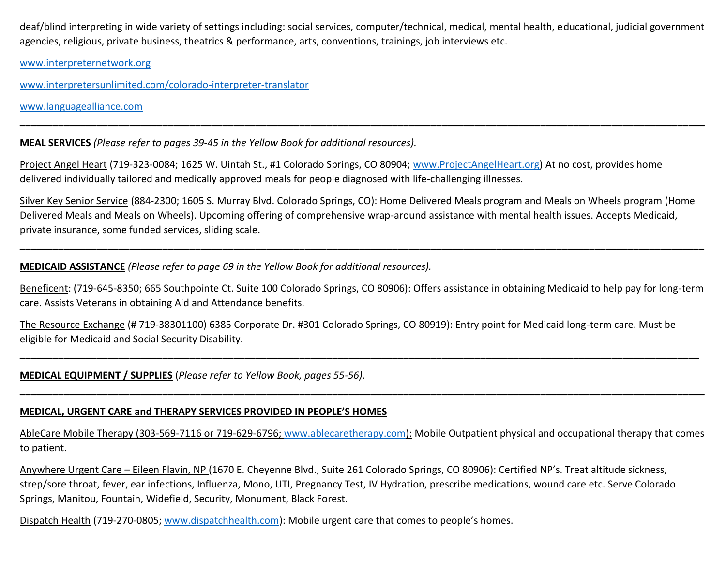deaf/blind interpreting in wide variety of settings including: social services, computer/technical, medical, mental health, educational, judicial government agencies, religious, private business, theatrics & performance, arts, conventions, trainings, job interviews etc.

**\_\_\_\_\_\_\_\_\_\_\_\_\_\_\_\_\_\_\_\_\_\_\_\_\_\_\_\_\_\_\_\_\_\_\_\_\_\_\_\_\_\_\_\_\_\_\_\_\_\_\_\_\_\_\_\_\_\_\_\_\_\_\_\_\_\_\_\_\_\_\_\_\_\_\_\_\_\_\_\_\_\_\_\_\_\_\_\_\_\_\_\_\_\_\_\_\_\_\_\_\_\_\_\_\_\_\_\_\_\_\_\_\_\_\_\_\_\_\_\_\_\_\_\_\_**

[www.interpreternetwork.org](http://www.interpreternetwork.org/)

[www.interpretersunlimited.com/colorado-interpreter-translator](http://www.interpretersunlimited.com/colorado-interpreter-translator)

[www.languagealliance.com](http://www.languagealliance.com/) 

**MEAL SERVICES** *(Please refer to pages 39-45 in the Yellow Book for additional resources).*

Project Angel Heart (719-323-0084; 1625 W. Uintah St., #1 Colorado Springs, CO 80904; [www.ProjectAngelHeart.org\)](http://www.projectangelheart.org/) At no cost, provides home delivered individually tailored and medically approved meals for people diagnosed with life-challenging illnesses.

Silver Key Senior Service (884-2300; 1605 S. Murray Blvd. Colorado Springs, CO): Home Delivered Meals program and Meals on Wheels program (Home Delivered Meals and Meals on Wheels). Upcoming offering of comprehensive wrap-around assistance with mental health issues. Accepts Medicaid, private insurance, some funded services, sliding scale.

**\_\_\_\_\_\_\_\_\_\_\_\_\_\_\_\_\_\_\_\_\_\_\_\_\_\_\_\_\_\_\_\_\_\_\_\_\_\_\_\_\_\_\_\_\_\_\_\_\_\_\_\_\_\_\_\_\_\_\_\_\_\_\_\_\_\_\_\_\_\_\_\_\_\_\_\_\_\_\_\_\_\_\_\_\_\_\_\_\_\_\_\_\_\_\_\_\_\_\_\_\_\_\_\_\_\_\_\_\_\_\_\_\_\_\_\_\_\_\_\_\_\_\_\_\_**

**MEDICAID ASSISTANCE** *(Please refer to page 69 in the Yellow Book for additional resources).*

Beneficent: (719-645-8350; 665 Southpointe Ct. Suite 100 Colorado Springs, CO 80906): Offers assistance in obtaining Medicaid to help pay for long-term care. Assists Veterans in obtaining Aid and Attendance benefits.

**\_\_\_\_\_\_\_\_\_\_\_\_\_\_\_\_\_\_\_\_\_\_\_\_\_\_\_\_\_\_\_\_\_\_\_\_\_\_\_\_\_\_\_\_\_\_\_\_\_\_\_\_\_\_\_\_\_\_\_\_\_\_\_\_\_\_\_\_\_\_\_\_\_\_\_\_\_\_\_\_\_\_\_\_\_\_\_\_\_\_\_\_\_\_\_\_\_\_\_\_\_\_\_\_\_\_\_\_\_\_\_\_\_\_\_\_\_\_\_\_\_\_\_\_**

**\_\_\_\_\_\_\_\_\_\_\_\_\_\_\_\_\_\_\_\_\_\_\_\_\_\_\_\_\_\_\_\_\_\_\_\_\_\_\_\_\_\_\_\_\_\_\_\_\_\_\_\_\_\_\_\_\_\_\_\_\_\_\_\_\_\_\_\_\_\_\_\_\_\_\_\_\_\_\_\_\_\_\_\_\_\_\_\_\_\_\_\_\_\_\_\_\_\_\_\_\_\_\_\_\_\_\_\_\_\_\_\_\_\_\_\_\_\_\_\_\_\_\_\_\_**

The Resource Exchange (# 719-38301100) 6385 Corporate Dr. #301 Colorado Springs, CO 80919): Entry point for Medicaid long-term care. Must be eligible for Medicaid and Social Security Disability.

**MEDICAL EQUIPMENT / SUPPLIES** (*Please refer to Yellow Book, pages 55-56).* 

# **MEDICAL, URGENT CARE and THERAPY SERVICES PROVIDED IN PEOPLE'S HOMES**

AbleCare Mobile Therapy (303-569-7116 or 719-629-6796; [www.ablecaretherapy.com\)](http://www.ablecaretherapy.com/): Mobile Outpatient physical and occupational therapy that comes to patient.

Anywhere Urgent Care – Eileen Flavin, NP (1670 E. Cheyenne Blvd., Suite 261 Colorado Springs, CO 80906): Certified NP's. Treat altitude sickness, strep/sore throat, fever, ear infections, Influenza, Mono, UTI, Pregnancy Test, IV Hydration, prescribe medications, wound care etc. Serve Colorado Springs, Manitou, Fountain, Widefield, Security, Monument, Black Forest.

Dispatch Health (719-270-0805; [www.dispatchhealth.com](http://www.dispatchhealth.com/)): Mobile urgent care that comes to people's homes.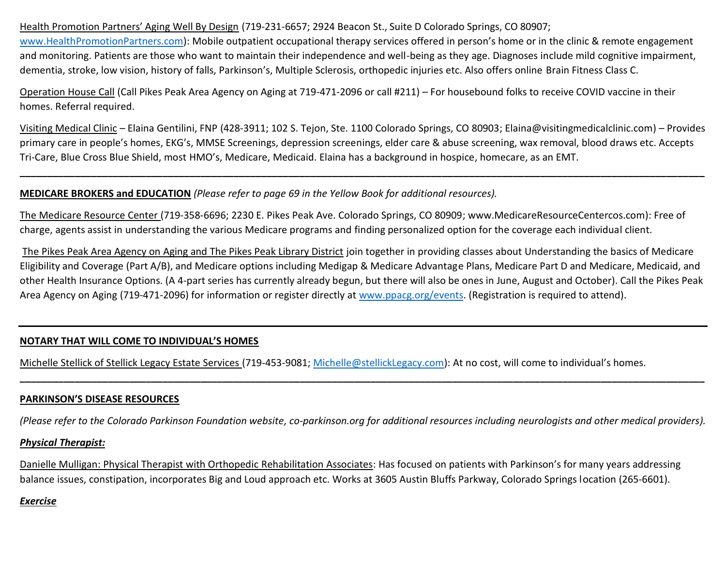Health Promotion Partners' Aging Well By Design (719-231-6657; 2924 Beacon St., Suite D Colorado Springs, CO 80907;

[www.HealthPromotionPartners.com](http://www.healthpromotionpartners.com/)): Mobile outpatient occupational therapy services offered in person's home or in the clinic & remote engagement and monitoring. Patients are those who want to maintain their independence and well-being as they age. Diagnoses include mild cognitive impairment, dementia, stroke, low vision, history of falls, Parkinson's, Multiple Sclerosis, orthopedic injuries etc. Also offers online Brain Fitness Class C.

Operation House Call (Call Pikes Peak Area Agency on Aging at 719-471-2096 or call #211) – For housebound folks to receive COVID vaccine in their homes. Referral required.

Visiting Medical Clinic – Elaina Gentilini, FNP (428-3911; 102 S. Tejon, Ste. 1100 Colorado Springs, CO 80903; Elaina@visitingmedicalclinic.com) – Provides primary care in people's homes, EKG's, MMSE Screenings, depression screenings, elder care & abuse screening, wax removal, blood draws etc. Accepts Tri-Care, Blue Cross Blue Shield, most HMO's, Medicare, Medicaid. Elaina has a background in hospice, homecare, as an EMT.

**\_\_\_\_\_\_\_\_\_\_\_\_\_\_\_\_\_\_\_\_\_\_\_\_\_\_\_\_\_\_\_\_\_\_\_\_\_\_\_\_\_\_\_\_\_\_\_\_\_\_\_\_\_\_\_\_\_\_\_\_\_\_\_\_\_\_\_\_\_\_\_\_\_\_\_\_\_\_\_\_\_\_\_\_\_\_\_\_\_\_\_\_\_\_\_\_\_\_\_\_\_\_\_\_\_\_\_\_\_\_\_\_\_\_\_\_\_\_\_\_\_\_\_\_\_**

### **MEDICARE BROKERS and EDUCATION** *(Please refer to page 69 in the Yellow Book for additional resources).*

The Medicare Resource Center (719-358-6696; 2230 E. Pikes Peak Ave. Colorado Springs, CO 80909; www.MedicareResourceCentercos.com): Free of charge, agents assist in understanding the various Medicare programs and finding personalized option for the coverage each individual client.

The Pikes Peak Area Agency on Aging and The Pikes Peak Library District join together in providing classes about Understanding the basics of Medicare Eligibility and Coverage (Part A/B), and Medicare options including Medigap & Medicare Advantage Plans, Medicare Part D and Medicare, Medicaid, and other Health Insurance Options. (A 4-part series has currently already begun, but there will also be ones in June, August and October). Call the Pikes Peak Area Agency on Aging (719-471-2096) for information or register directly at [www.ppacg.org/events.](http://www.ppacg.org/events) (Registration is required to attend).

# **NOTARY THAT WILL COME TO INDIVIDUAL'S HOMES**

Michelle Stellick of Stellick Legacy Estate Services (719-453-9081; [Michelle@stellickLegacy.com\)](mailto:Michelle@stellickLegacy.com): At no cost, will come to individual's homes.

# **PARKINSON'S DISEASE RESOURCES**

*(Please refer to the Colorado Parkinson Foundation website, co-parkinson.org for additional resources including neurologists and other medical providers).*

**\_\_\_\_\_\_\_\_\_\_\_\_\_\_\_\_\_\_\_\_\_\_\_\_\_\_\_\_\_\_\_\_\_\_\_\_\_\_\_\_\_\_\_\_\_\_\_\_\_\_\_\_\_\_\_\_\_\_\_\_\_\_\_\_\_\_\_\_\_\_\_\_\_\_\_\_\_\_\_\_\_\_\_\_\_\_\_\_\_\_\_\_\_\_\_\_\_\_\_\_\_\_\_\_\_\_\_\_\_\_\_\_\_\_\_\_\_\_\_\_\_\_\_\_\_**

### *Physical Therapist:*

Danielle Mulligan: Physical Therapist with Orthopedic Rehabilitation Associates: Has focused on patients with Parkinson's for many years addressing balance issues, constipation, incorporates Big and Loud approach etc. Works at 3605 Austin Bluffs Parkway, Colorado Springs location (265-6601).

# *Exercise*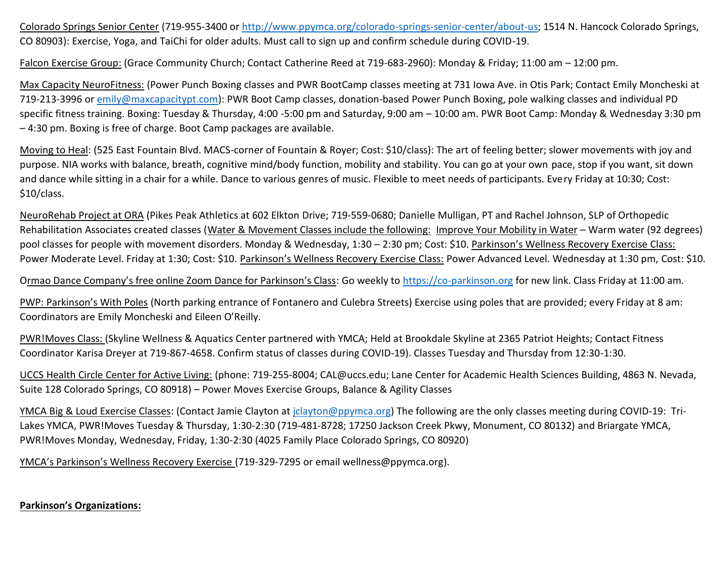Colorado Springs Senior Center (719-955-3400 or [http://www.ppymca.org/colorado-springs-senior-center/about-us;](http://www.ppymca.org/colorado-springs-senior-center/about-us) 1514 N. Hancock Colorado Springs, CO 80903): Exercise, Yoga, and TaiChi for older adults. Must call to sign up and confirm schedule during COVID-19.

Falcon Exercise Group: (Grace Community Church; Contact Catherine Reed at 719-683-2960): Monday & Friday; 11:00 am – 12:00 pm.

Max Capacity NeuroFitness: (Power Punch Boxing classes and PWR BootCamp classes meeting at 731 Iowa Ave. in Otis Park; Contact Emily Moncheski at 719-213-3996 or [emily@maxcapacitypt.com\)](mailto:emily@maxcapacitypt.com): PWR Boot Camp classes, donation-based Power Punch Boxing, pole walking classes and individual PD specific fitness training. Boxing: Tuesday & Thursday, 4:00 -5:00 pm and Saturday, 9:00 am – 10:00 am. PWR Boot Camp: Monday & Wednesday 3:30 pm – 4:30 pm. Boxing is free of charge. Boot Camp packages are available.

Moving to Heal: (525 East Fountain Blvd. MACS-corner of Fountain & Royer; Cost: \$10/class): The art of feeling better; slower movements with joy and purpose. NIA works with balance, breath, cognitive mind/body function, mobility and stability. You can go at your own pace, stop if you want, sit down and dance while sitting in a chair for a while. Dance to various genres of music. Flexible to meet needs of participants. Every Friday at 10:30; Cost: \$10/class.

NeuroRehab Project at ORA (Pikes Peak Athletics at 602 Elkton Drive; 719-559-0680; Danielle Mulligan, PT and Rachel Johnson, SLP of Orthopedic Rehabilitation Associates created classes (Water & Movement Classes include the following: Improve Your Mobility in Water – Warm water (92 degrees) pool classes for people with movement disorders. Monday & Wednesday, 1:30 – 2:30 pm; Cost: \$10. Parkinson's Wellness Recovery Exercise Class: Power Moderate Level. Friday at 1:30; Cost: \$10. Parkinson's Wellness Recovery Exercise Class: Power Advanced Level. Wednesday at 1:30 pm, Cost: \$10.

Ormao Dance Company's free online Zoom Dance for Parkinson's Class: Go weekly to [https://co-parkinson.org](https://co-parkinson.org/) for new link. Class Friday at 11:00 am.

PWP: Parkinson's With Poles (North parking entrance of Fontanero and Culebra Streets) Exercise using poles that are provided; every Friday at 8 am: Coordinators are Emily Moncheski and Eileen O'Reilly.

PWR!Moves Class: (Skyline Wellness & Aquatics Center partnered with YMCA; Held at Brookdale Skyline at 2365 Patriot Heights; Contact Fitness Coordinator Karisa Dreyer at 719-867-4658. Confirm status of classes during COVID-19). Classes Tuesday and Thursday from 12:30-1:30.

UCCS Health Circle Center for Active Living: (phone: 719-255-8004; CAL@uccs.edu; Lane Center for Academic Health Sciences Building, 4863 N. Nevada, Suite 128 Colorado Springs, CO 80918) – Power Moves Exercise Groups, Balance & Agility Classes

YMCA Big & Loud Exercise Classes: (Contact Jamie Clayton at [jclayton@ppymca.org\)](mailto:jclayton@ppymca.org) The following are the only classes meeting during COVID-19: Tri-Lakes YMCA, PWR!Moves Tuesday & Thursday, 1:30-2:30 (719-481-8728; 17250 Jackson Creek Pkwy, Monument, CO 80132) and Briargate YMCA, PWR!Moves Monday, Wednesday, Friday, 1:30-2:30 (4025 Family Place Colorado Springs, CO 80920)

YMCA's Parkinson's Wellness Recovery Exercise (719-329-7295 or email wellness@ppymca.org).

# **Parkinson's Organizations:**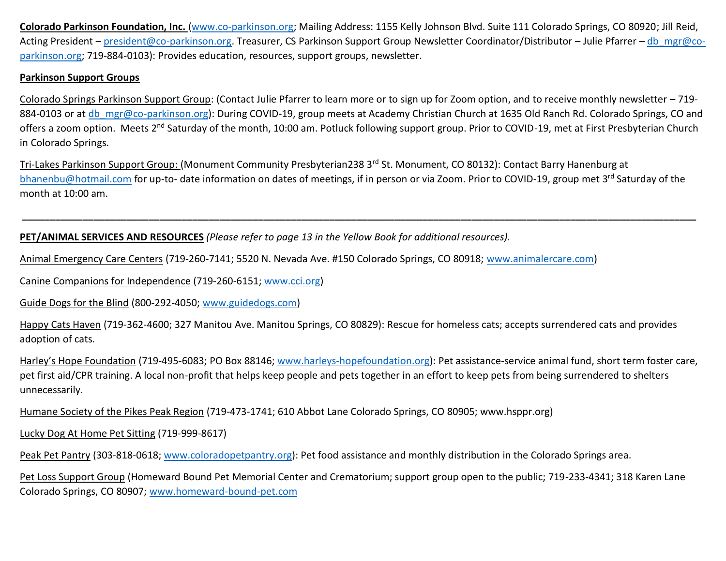**Colorado Parkinson Foundation, Inc.** [\(www.co-parkinson.org;](http://www.co-parkinson.org/) Mailing Address: 1155 Kelly Johnson Blvd. Suite 111 Colorado Springs, CO 80920; Jill Reid, Acting President – [president@co-parkinson.org.](mailto:president@co-parkinson.org) Treasurer, CS Parkinson Support Group Newsletter Coordinator/Distributor – Julie Pfarrer – [db\\_mgr@co](mailto:db_mgr@co-parkinson.org)[parkinson.org;](mailto:db_mgr@co-parkinson.org) 719-884-0103): Provides education, resources, support groups, newsletter.

# **Parkinson Support Groups**

Colorado Springs Parkinson Support Group: (Contact Julie Pfarrer to learn more or to sign up for Zoom option, and to receive monthly newsletter – 719 884-0103 or at [db\\_mgr@co-parkinson.org\)](mailto:db_mgr@co-parkinson.org): During COVID-19, group meets at Academy Christian Church at 1635 Old Ranch Rd. Colorado Springs, CO and offers a zoom option. Meets 2<sup>nd</sup> Saturday of the month, 10:00 am. Potluck following support group. Prior to COVID-19, met at First Presbyterian Church in Colorado Springs.

Tri-Lakes Parkinson Support Group: (Monument Community Presbyterian238 3rd St. Monument, CO 80132): Contact Barry Hanenburg at [bhanenbu@hotmail.com](mailto:bhanenbu@hotmail.com) for up-to- date information on dates of meetings, if in person or via Zoom. Prior to COVID-19, group met 3rd Saturday of the month at 10:00 am.

**\_\_\_\_\_\_\_\_\_\_\_\_\_\_\_\_\_\_\_\_\_\_\_\_\_\_\_\_\_\_\_\_\_\_\_\_\_\_\_\_\_\_\_\_\_\_\_\_\_\_\_\_\_\_\_\_\_\_\_\_\_\_\_\_\_\_\_\_\_\_\_\_\_\_\_\_\_\_\_\_\_\_\_\_\_\_\_\_\_\_\_\_\_\_\_\_\_\_\_\_\_\_\_\_\_\_\_\_\_\_\_\_\_\_\_\_\_\_\_\_\_\_\_**

# **PET/ANIMAL SERVICES AND RESOURCES** *(Please refer to page 13 in the Yellow Book for additional resources).*

Animal Emergency Care Centers (719-260-7141; 5520 N. Nevada Ave. #150 Colorado Springs, CO 80918; [www.animalercare.com\)](http://www.animalercare.com/)

Canine Companions for Independence (719-260-6151; [www.cci.org\)](http://www.cci.org/)

Guide Dogs for the Blind (800-292-4050; [www.guidedogs.com\)](http://www.guidedogs.com/)

Happy Cats Haven (719-362-4600; 327 Manitou Ave. Manitou Springs, CO 80829): Rescue for homeless cats; accepts surrendered cats and provides adoption of cats.

Harley's Hope Foundation (719-495-6083; PO Box 88146; [www.harleys-hopefoundation.org\)](http://www.harleys-hopefoundation.org/): Pet assistance-service animal fund, short term foster care, pet first aid/CPR training. A local non-profit that helps keep people and pets together in an effort to keep pets from being surrendered to shelters unnecessarily.

Humane Society of the Pikes Peak Region (719-473-1741; 610 Abbot Lane Colorado Springs, CO 80905; www.hsppr.org)

Lucky Dog At Home Pet Sitting (719-999-8617)

Peak Pet Pantry (303-818-0618; [www.coloradopetpantry.org\)](http://www.coloradopetpantry.org/): Pet food assistance and monthly distribution in the Colorado Springs area.

Pet Loss Support Group (Homeward Bound Pet Memorial Center and Crematorium; support group open to the public; 719-233-4341; 318 Karen Lane Colorado Springs, CO 80907; [www.homeward-bound-pet.com](http://www.homeward-bound-pet.com/)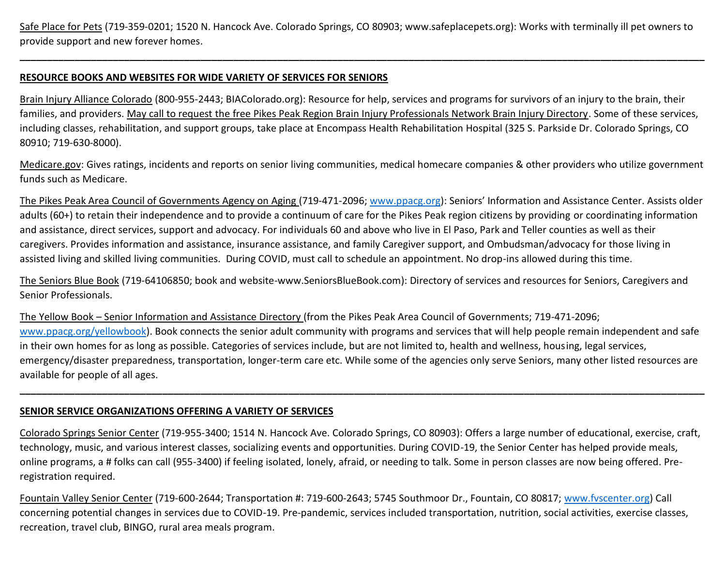Safe Place for Pets (719-359-0201; 1520 N. Hancock Ave. Colorado Springs, CO 80903; www.safeplacepets.org): Works with terminally ill pet owners to provide support and new forever homes.

**\_\_\_\_\_\_\_\_\_\_\_\_\_\_\_\_\_\_\_\_\_\_\_\_\_\_\_\_\_\_\_\_\_\_\_\_\_\_\_\_\_\_\_\_\_\_\_\_\_\_\_\_\_\_\_\_\_\_\_\_\_\_\_\_\_\_\_\_\_\_\_\_\_\_\_\_\_\_\_\_\_\_\_\_\_\_\_\_\_\_\_\_\_\_\_\_\_\_\_\_\_\_\_\_\_\_\_\_\_\_\_\_\_\_\_\_\_\_\_\_\_\_\_\_\_**

#### **RESOURCE BOOKS AND WEBSITES FOR WIDE VARIETY OF SERVICES FOR SENIORS**

Brain Injury Alliance Colorado (800-955-2443; BIAColorado.org): Resource for help, services and programs for survivors of an injury to the brain, their families, and providers. May call to request the free Pikes Peak Region Brain Injury Professionals Network Brain Injury Directory. Some of these services, including classes, rehabilitation, and support groups, take place at Encompass Health Rehabilitation Hospital (325 S. Parkside Dr. Colorado Springs, CO 80910; 719-630-8000).

Medicare.gov: Gives ratings, incidents and reports on senior living communities, medical homecare companies & other providers who utilize government funds such as Medicare.

The Pikes Peak Area Council of Governments Agency on Aging (719-471-2096; [www.ppacg.org\)](http://www.ppacg.org/): Seniors' Information and Assistance Center. Assists older adults (60+) to retain their independence and to provide a continuum of care for the Pikes Peak region citizens by providing or coordinating information and assistance, direct services, support and advocacy. For individuals 60 and above who live in El Paso, Park and Teller counties as well as their caregivers. Provides information and assistance, insurance assistance, and family Caregiver support, and Ombudsman/advocacy for those living in assisted living and skilled living communities. During COVID, must call to schedule an appointment. No drop-ins allowed during this time.

The Seniors Blue Book (719-64106850; book and website-www.SeniorsBlueBook.com): Directory of services and resources for Seniors, Caregivers and Senior Professionals.

The Yellow Book – Senior Information and Assistance Directory (from the Pikes Peak Area Council of Governments; 719-471-2096; [www.ppacg.org/yellowbook\)](http://www.ppacg.org/yellowbook). Book connects the senior adult community with programs and services that will help people remain independent and safe in their own homes for as long as possible. Categories of services include, but are not limited to, health and wellness, housing, legal services, emergency/disaster preparedness, transportation, longer-term care etc. While some of the agencies only serve Seniors, many other listed resources are available for people of all ages.

**\_\_\_\_\_\_\_\_\_\_\_\_\_\_\_\_\_\_\_\_\_\_\_\_\_\_\_\_\_\_\_\_\_\_\_\_\_\_\_\_\_\_\_\_\_\_\_\_\_\_\_\_\_\_\_\_\_\_\_\_\_\_\_\_\_\_\_\_\_\_\_\_\_\_\_\_\_\_\_\_\_\_\_\_\_\_\_\_\_\_\_\_\_\_\_\_\_\_\_\_\_\_\_\_\_\_\_\_\_\_\_\_\_\_\_\_\_\_\_\_\_\_\_\_\_**

### **SENIOR SERVICE ORGANIZATIONS OFFERING A VARIETY OF SERVICES**

Colorado Springs Senior Center (719-955-3400; 1514 N. Hancock Ave. Colorado Springs, CO 80903): Offers a large number of educational, exercise, craft, technology, music, and various interest classes, socializing events and opportunities. During COVID-19, the Senior Center has helped provide meals, online programs, a # folks can call (955-3400) if feeling isolated, lonely, afraid, or needing to talk. Some in person classes are now being offered. Preregistration required.

Fountain Valley Senior Center (719-600-2644; Transportation #: 719-600-2643; 5745 Southmoor Dr., Fountain, CO 80817; [www.fvscenter.org\)](http://www.fvscenter.org/) Call concerning potential changes in services due to COVID-19. Pre-pandemic, services included transportation, nutrition, social activities, exercise classes, recreation, travel club, BINGO, rural area meals program.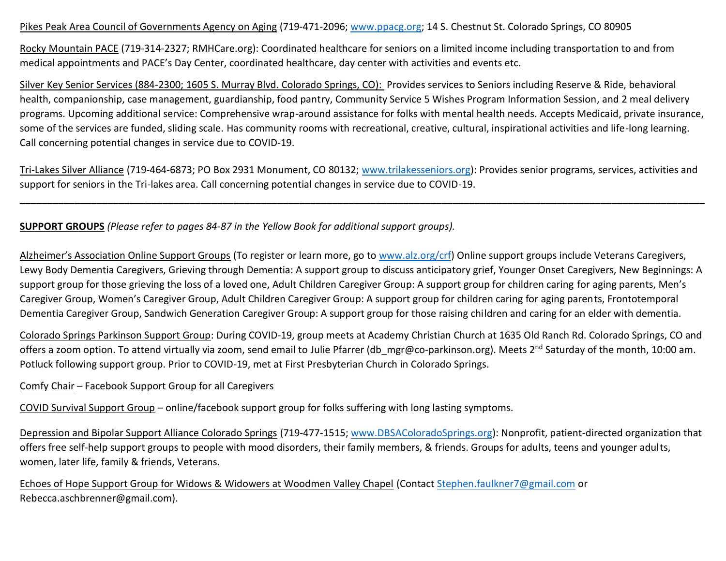#### Pikes Peak Area Council of Governments Agency on Aging (719-471-2096; [www.ppacg.org;](http://www.ppacg.org/) 14 S. Chestnut St. Colorado Springs, CO 80905

Rocky Mountain PACE (719-314-2327; RMHCare.org): Coordinated healthcare for seniors on a limited income including transportation to and from medical appointments and PACE's Day Center, coordinated healthcare, day center with activities and events etc.

Silver Key Senior Services (884-2300; 1605 S. Murray Blvd. Colorado Springs, CO): Provides services to Seniors including Reserve & Ride, behavioral health, companionship, case management, guardianship, food pantry, Community Service 5 Wishes Program Information Session, and 2 meal delivery programs. Upcoming additional service: Comprehensive wrap-around assistance for folks with mental health needs. Accepts Medicaid, private insurance, some of the services are funded, sliding scale. Has community rooms with recreational, creative, cultural, inspirational activities and life-long learning. Call concerning potential changes in service due to COVID-19.

Tri-Lakes Silver Alliance (719-464-6873; PO Box 2931 Monument, CO 80132; [www.trilakesseniors.org\)](http://www.trilakesseniors.org/): Provides senior programs, services, activities and support for seniors in the Tri-lakes area. Call concerning potential changes in service due to COVID-19.

**\_\_\_\_\_\_\_\_\_\_\_\_\_\_\_\_\_\_\_\_\_\_\_\_\_\_\_\_\_\_\_\_\_\_\_\_\_\_\_\_\_\_\_\_\_\_\_\_\_\_\_\_\_\_\_\_\_\_\_\_\_\_\_\_\_\_\_\_\_\_\_\_\_\_\_\_\_\_\_\_\_\_\_\_\_\_\_\_\_\_\_\_\_\_\_\_\_\_\_\_\_\_\_\_\_\_\_\_\_\_\_\_\_\_\_\_\_\_\_\_\_\_\_\_\_**

**SUPPORT GROUPS** *(Please refer to pages 84-87 in the Yellow Book for additional support groups).*

Alzheimer's Association Online Support Groups (To register or learn more, go to [www.alz.org/crf\)](http://www.alz.org/crf) Online support groups include Veterans Caregivers, Lewy Body Dementia Caregivers, Grieving through Dementia: A support group to discuss anticipatory grief, Younger Onset Caregivers, New Beginnings: A support group for those grieving the loss of a loved one, Adult Children Caregiver Group: A support group for children caring for aging parents, Men's Caregiver Group, Women's Caregiver Group, Adult Children Caregiver Group: A support group for children caring for aging parents, Frontotemporal Dementia Caregiver Group, Sandwich Generation Caregiver Group: A support group for those raising children and caring for an elder with dementia.

Colorado Springs Parkinson Support Group: During COVID-19, group meets at Academy Christian Church at 1635 Old Ranch Rd. Colorado Springs, CO and offers a zoom option. To attend virtually via zoom, send email to Julie Pfarrer (db mgr@co-parkinson.org). Meets 2<sup>nd</sup> Saturday of the month, 10:00 am. Potluck following support group. Prior to COVID-19, met at First Presbyterian Church in Colorado Springs.

Comfy Chair – Facebook Support Group for all Caregivers

COVID Survival Support Group – online/facebook support group for folks suffering with long lasting symptoms.

Depression and Bipolar Support Alliance Colorado Springs (719-477-1515; [www.DBSAColoradoSprings.org\)](http://www.dbsacoloradosprings.org/): Nonprofit, patient-directed organization that offers free self-help support groups to people with mood disorders, their family members, & friends. Groups for adults, teens and younger adults, women, later life, family & friends, Veterans.

Echoes of Hope Support Group for Widows & Widowers at Woodmen Valley Chapel (Contact [Stephen.faulkner7@gmail.com](mailto:Stephen.faulkner7@gmail.com) or Rebecca.aschbrenner@gmail.com).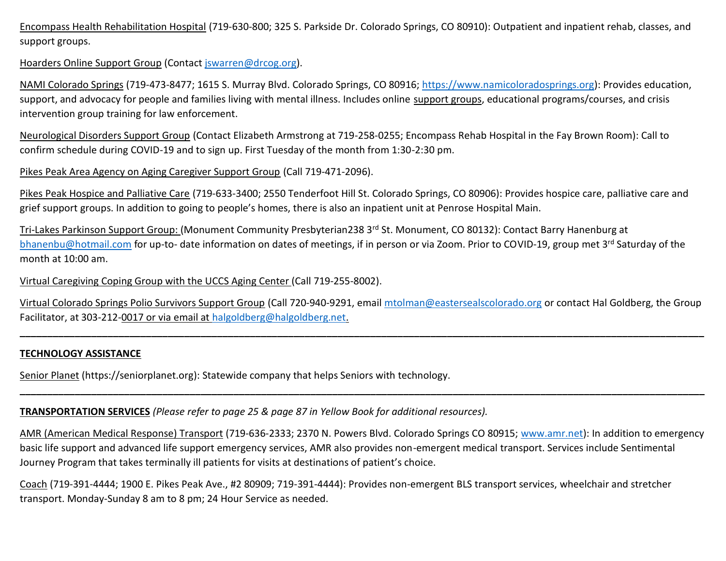Encompass Health Rehabilitation Hospital (719-630-800; 325 S. Parkside Dr. Colorado Springs, CO 80910): Outpatient and inpatient rehab, classes, and support groups.

### Hoarders Online Support Group (Contact [jswarren@drcog.org\)](mailto:jswarren@drcog.org).

NAMI Colorado Springs (719-473-8477; 1615 S. Murray Blvd. Colorado Springs, CO 80916; [https://www.namicoloradosprings.org\)](https://www.namicoloradosprings.org/): Provides education, support, and advocacy for people and families living with mental illness. Includes online support groups, educational programs/courses, and crisis intervention group training for law enforcement.

Neurological Disorders Support Group (Contact Elizabeth Armstrong at 719-258-0255; Encompass Rehab Hospital in the Fay Brown Room): Call to confirm schedule during COVID-19 and to sign up. First Tuesday of the month from 1:30-2:30 pm.

Pikes Peak Area Agency on Aging Caregiver Support Group (Call 719-471-2096).

Pikes Peak Hospice and Palliative Care (719-633-3400; 2550 Tenderfoot Hill St. Colorado Springs, CO 80906): Provides hospice care, palliative care and grief support groups. In addition to going to people's homes, there is also an inpatient unit at Penrose Hospital Main.

Tri-Lakes Parkinson Support Group: (Monument Community Presbyterian238 3<sup>rd</sup> St. Monument, CO 80132): Contact Barry Hanenburg at [bhanenbu@hotmail.com](mailto:bhanenbu@hotmail.com) for up-to- date information on dates of meetings, if in person or via Zoom. Prior to COVID-19, group met 3<sup>rd</sup> Saturday of the month at 10:00 am.

### Virtual Caregiving Coping Group with the UCCS Aging Center (Call 719-255-8002).

Virtual Colorado Springs Polio Survivors Support Group (Call 720-940-9291, email [mtolman@eastersealscolorado.org](mailto:mtolman@eastersealscolorado.org) or contact Hal Goldberg, the Group Facilitator, at 303-212-0017 or via email at [halgoldberg@halgoldberg.net.](mailto:halgoldberg@halgoldberg.net)

**\_\_\_\_\_\_\_\_\_\_\_\_\_\_\_\_\_\_\_\_\_\_\_\_\_\_\_\_\_\_\_\_\_\_\_\_\_\_\_\_\_\_\_\_\_\_\_\_\_\_\_\_\_\_\_\_\_\_\_\_\_\_\_\_\_\_\_\_\_\_\_\_\_\_\_\_\_\_\_\_\_\_\_\_\_\_\_\_\_\_\_\_\_\_\_\_\_\_\_\_\_\_\_\_\_\_\_\_\_\_\_\_\_\_\_\_\_\_\_\_\_\_\_\_\_**

**\_\_\_\_\_\_\_\_\_\_\_\_\_\_\_\_\_\_\_\_\_\_\_\_\_\_\_\_\_\_\_\_\_\_\_\_\_\_\_\_\_\_\_\_\_\_\_\_\_\_\_\_\_\_\_\_\_\_\_\_\_\_\_\_\_\_\_\_\_\_\_\_\_\_\_\_\_\_\_\_\_\_\_\_\_\_\_\_\_\_\_\_\_\_\_\_\_\_\_\_\_\_\_\_\_\_\_\_\_\_\_\_\_\_\_\_\_\_\_\_\_\_\_\_\_**

# **TECHNOLOGY ASSISTANCE**

Senior Planet (https://seniorplanet.org): Statewide company that helps Seniors with technology.

# **TRANSPORTATION SERVICES** *(Please refer to page 25 & page 87 in Yellow Book for additional resources).*

AMR (American Medical Response) Transport (719-636-2333; 2370 N. Powers Blvd. Colorado Springs CO 80915; [www.amr.net\)](http://www.amr.net/): In addition to emergency basic life support and advanced life support emergency services, AMR also provides non-emergent medical transport. Services include Sentimental Journey Program that takes terminally ill patients for visits at destinations of patient's choice.

Coach (719-391-4444; 1900 E. Pikes Peak Ave., #2 80909; 719-391-4444): Provides non-emergent BLS transport services, wheelchair and stretcher transport. Monday-Sunday 8 am to 8 pm; 24 Hour Service as needed.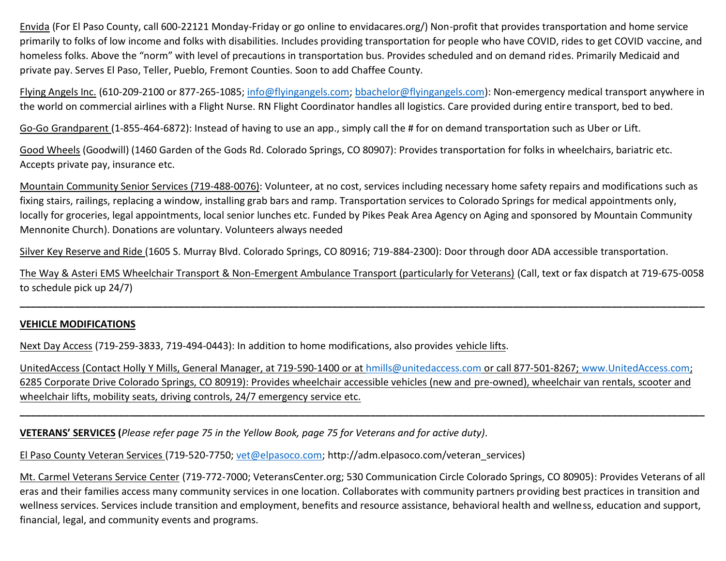Envida (For El Paso County, call 600-22121 Monday-Friday or go online to envidacares.org/) Non-profit that provides transportation and home service primarily to folks of low income and folks with disabilities. Includes providing transportation for people who have COVID, rides to get COVID vaccine, and homeless folks. Above the "norm" with level of precautions in transportation bus. Provides scheduled and on demand rides. Primarily Medicaid and private pay. Serves El Paso, Teller, Pueblo, Fremont Counties. Soon to add Chaffee County.

Flying Angels Inc. (610-209-2100 or 877-265-1085; [info@flyingangels.com;](mailto:info@flyingangels.com) [bbachelor@flyingangels.com\)](mailto:bbachelor@flyingangels.com): Non-emergency medical transport anywhere in the world on commercial airlines with a Flight Nurse. RN Flight Coordinator handles all logistics. Care provided during entire transport, bed to bed.

Go-Go Grandparent (1-855-464-6872): Instead of having to use an app., simply call the # for on demand transportation such as Uber or Lift.

Good Wheels (Goodwill) (1460 Garden of the Gods Rd. Colorado Springs, CO 80907): Provides transportation for folks in wheelchairs, bariatric etc. Accepts private pay, insurance etc.

Mountain Community Senior Services (719-488-0076): Volunteer, at no cost, services including necessary home safety repairs and modifications such as fixing stairs, railings, replacing a window, installing grab bars and ramp. Transportation services to Colorado Springs for medical appointments only, locally for groceries, legal appointments, local senior lunches etc. Funded by Pikes Peak Area Agency on Aging and sponsored by Mountain Community Mennonite Church). Donations are voluntary. Volunteers always needed

Silver Key Reserve and Ride (1605 S. Murray Blvd. Colorado Springs, CO 80916; 719-884-2300): Door through door ADA accessible transportation.

The Way & Asteri EMS Wheelchair Transport & Non-Emergent Ambulance Transport (particularly for Veterans) (Call, text or fax dispatch at 719-675-0058 to schedule pick up 24/7)

**\_\_\_\_\_\_\_\_\_\_\_\_\_\_\_\_\_\_\_\_\_\_\_\_\_\_\_\_\_\_\_\_\_\_\_\_\_\_\_\_\_\_\_\_\_\_\_\_\_\_\_\_\_\_\_\_\_\_\_\_\_\_\_\_\_\_\_\_\_\_\_\_\_\_\_\_\_\_\_\_\_\_\_\_\_\_\_\_\_\_\_\_\_\_\_\_\_\_\_\_\_\_\_\_\_\_\_\_\_\_\_\_\_\_\_\_\_\_\_\_\_\_\_\_\_**

# **VEHICLE MODIFICATIONS**

Next Day Access (719-259-3833, 719-494-0443): In addition to home modifications, also provides vehicle lifts.

UnitedAccess (Contact Holly Y Mills, General Manager, at 719-590-1400 or at [hmills@unitedaccess.com](mailto:hmills@unitedaccess.com) or call 877-501-8267; [www.UnitedAccess.com;](http://www.unitedaccess.com/) 6285 Corporate Drive Colorado Springs, CO 80919): Provides wheelchair accessible vehicles (new and pre-owned), wheelchair van rentals, scooter and wheelchair lifts, mobility seats, driving controls, 24/7 emergency service etc.

**\_\_\_\_\_\_\_\_\_\_\_\_\_\_\_\_\_\_\_\_\_\_\_\_\_\_\_\_\_\_\_\_\_\_\_\_\_\_\_\_\_\_\_\_\_\_\_\_\_\_\_\_\_\_\_\_\_\_\_\_\_\_\_\_\_\_\_\_\_\_\_\_\_\_\_\_\_\_\_\_\_\_\_\_\_\_\_\_\_\_\_\_\_\_\_\_\_\_\_\_\_\_\_\_\_\_\_\_\_\_\_\_\_\_\_\_\_\_\_\_\_\_\_\_\_**

**VETERANS' SERVICES (***Please refer page 75 in the Yellow Book, page 75 for Veterans and for active duty).*

El Paso County Veteran Services (719-520-7750; [vet@elpasoco.com;](mailto:vet@elpasoco.com) http://adm.elpasoco.com/veteran\_services)

Mt. Carmel Veterans Service Center (719-772-7000; VeteransCenter.org; 530 Communication Circle Colorado Springs, CO 80905): Provides Veterans of all eras and their families access many community services in one location. Collaborates with community partners providing best practices in transition and wellness services. Services include transition and employment, benefits and resource assistance, behavioral health and wellness, education and support, financial, legal, and community events and programs.